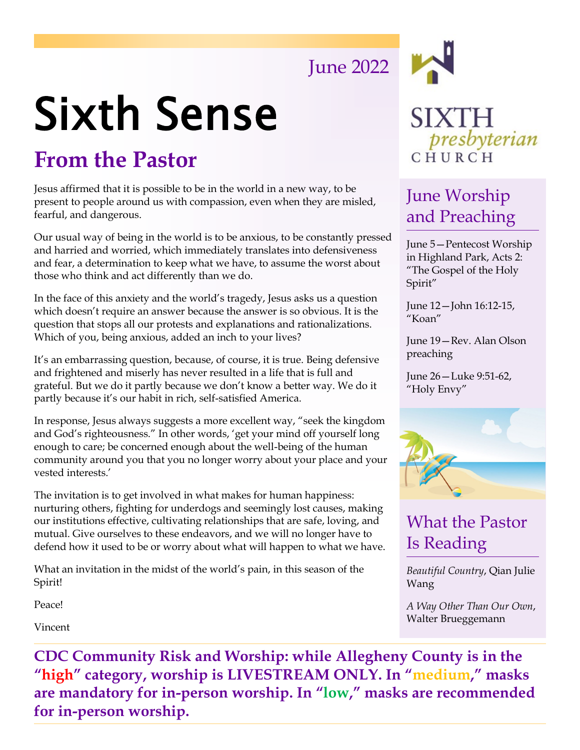# June 2022

# Sixth Sense

# **From the Pastor**

Jesus affirmed that it is possible to be in the world in a new way, to be present to people around us with compassion, even when they are misled, fearful, and dangerous.

Our usual way of being in the world is to be anxious, to be constantly pressed and harried and worried, which immediately translates into defensiveness and fear, a determination to keep what we have, to assume the worst about those who think and act differently than we do.

In the face of this anxiety and the world's tragedy, Jesus asks us a question which doesn't require an answer because the answer is so obvious. It is the question that stops all our protests and explanations and rationalizations. Which of you, being anxious, added an inch to your lives?

It's an embarrassing question, because, of course, it is true. Being defensive and frightened and miserly has never resulted in a life that is full and grateful. But we do it partly because we don't know a better way. We do it partly because it's our habit in rich, self-satisfied America.

In response, Jesus always suggests a more excellent way, "seek the kingdom and God's righteousness." In other words, 'get your mind off yourself long enough to care; be concerned enough about the well-being of the human community around you that you no longer worry about your place and your vested interests.'

The invitation is to get involved in what makes for human happiness: nurturing others, fighting for underdogs and seemingly lost causes, making our institutions effective, cultivating relationships that are safe, loving, and mutual. Give ourselves to these endeavors, and we will no longer have to defend how it used to be or worry about what will happen to what we have.

What an invitation in the midst of the world's pain, in this season of the Spirit!

Peace!

Vincent



### June Worship and Preaching

June 5—Pentecost Worship in Highland Park, Acts 2: "The Gospel of the Holy Spirit"

June 12—John 16:12-15, "Koan"

June 19—Rev. Alan Olson preaching

June 26—Luke 9:51-62, "Holy Envy"



### What the Pastor Is Reading

*Beautiful Country*, Qian Julie Wang

*A Way Other Than Our Own*, Walter Brueggemann

**CDC Community Risk and Worship: while Allegheny County is in the "high" category, worship is LIVESTREAM ONLY. In "medium," masks are mandatory for in-person worship. In "low," masks are recommended for in-person worship.**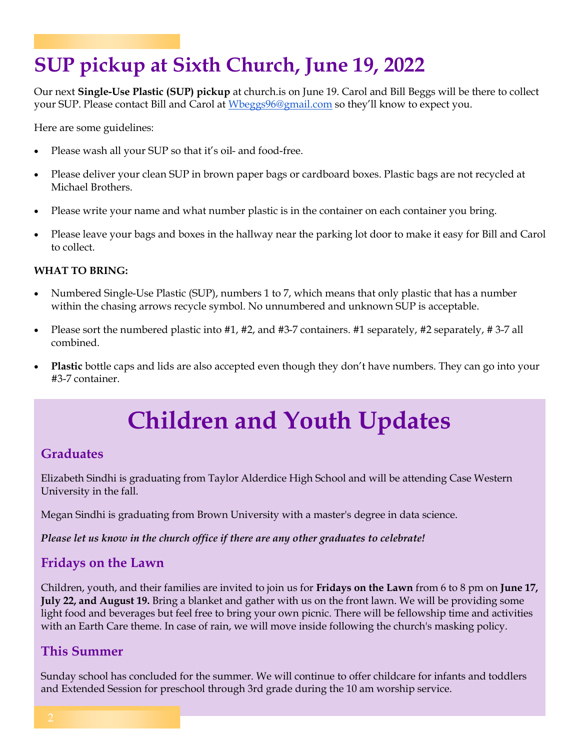# **SUP pickup at Sixth Church, June 19, 2022**

Our next **Single-Use Plastic (SUP) pickup** at church.is on June 19. Carol and Bill Beggs will be there to collect your SUP. Please contact Bill and Carol at [Wbeggs96@gmail.com](mailto:Wbeggs96@gmail.com) so they'll know to expect you.

Here are some guidelines:

- Please wash all your SUP so that it's oil- and food-free.
- Please deliver your clean SUP in brown paper bags or cardboard boxes. Plastic bags are not recycled at Michael Brothers.
- Please write your name and what number plastic is in the container on each container you bring.
- Please leave your bags and boxes in the hallway near the parking lot door to make it easy for Bill and Carol to collect.

#### **WHAT TO BRING:**

- Numbered Single-Use Plastic (SUP), numbers 1 to 7, which means that only plastic that has a number within the chasing arrows recycle symbol. No unnumbered and unknown SUP is acceptable.
- Please sort the numbered plastic into #1, #2, and #3-7 containers. #1 separately, #2 separately, #3-7 all combined.
- **Plastic** bottle caps and lids are also accepted even though they don't have numbers. They can go into your #3-7 container.

# **Children and Youth Updates**

### **Graduates**

Elizabeth Sindhi is graduating from Taylor Alderdice High School and will be attending Case Western University in the fall.

Megan Sindhi is graduating from Brown University with a master's degree in data science.

*Please let us know in the church office if there are any other graduates to celebrate!*

### **Fridays on the Lawn**

Children, youth, and their families are invited to join us for **Fridays on the Lawn** from 6 to 8 pm on **June 17, July 22, and August 19.** Bring a blanket and gather with us on the front lawn. We will be providing some light food and beverages but feel free to bring your own picnic. There will be fellowship time and activities with an Earth Care theme. In case of rain, we will move inside following the church's masking policy.

### **This Summer**

Sunday school has concluded for the summer. We will continue to offer childcare for infants and toddlers and Extended Session for preschool through 3rd grade during the 10 am worship service.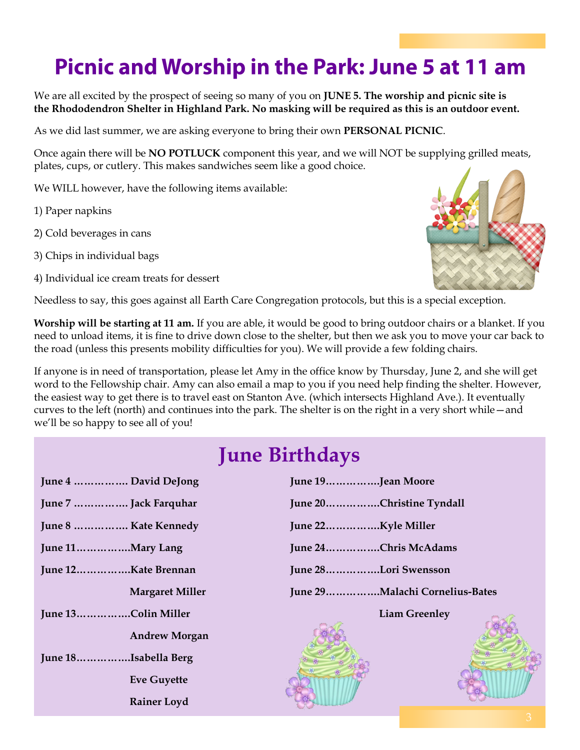# **Picnic and Worship in the Park: June 5 at 11 am**

We are all excited by the prospect of seeing so many of you on **JUNE 5. The worship and picnic site is the Rhododendron Shelter in Highland Park. No masking will be required as this is an outdoor event.**

As we did last summer, we are asking everyone to bring their own **PERSONAL PICNIC**.

Once again there will be **NO POTLUCK** component this year, and we will NOT be supplying grilled meats, plates, cups, or cutlery. This makes sandwiches seem like a good choice.

We WILL however, have the following items available:

1) Paper napkins

- 2) Cold beverages in cans
- 3) Chips in individual bags
- 4) Individual ice cream treats for dessert



Needless to say, this goes against all Earth Care Congregation protocols, but this is a special exception.

**Worship will be starting at 11 am.** If you are able, it would be good to bring outdoor chairs or a blanket. If you need to unload items, it is fine to drive down close to the shelter, but then we ask you to move your car back to the road (unless this presents mobility difficulties for you). We will provide a few folding chairs.

If anyone is in need of transportation, please let Amy in the office know by Thursday, June 2, and she will get word to the Fellowship chair. Amy can also email a map to you if you need help finding the shelter. However, the easiest way to get there is to travel east on Stanton Ave. (which intersects Highland Ave.). It eventually curves to the left (north) and continues into the park. The shelter is on the right in a very short while—and we'll be so happy to see all of you!

### **June Birthdays**

| June 4  David DeJong   |
|------------------------|
| June 7  Jack Farquhar  |
| June 8  Kate Kennedy   |
|                        |
| June 12Kate Brennan    |
| <b>Margaret Miller</b> |
| June 13Colin Miller    |
| <b>Andrew Morgan</b>   |
| June 18Isabella Berg   |
| <b>Eve Guyette</b>     |
| <b>Rainer Loyd</b>     |
|                        |

| June 19Jean Moore               |
|---------------------------------|
| June 20Christine Tyndall        |
| June 22Kyle Miller              |
| June 24Chris McAdams            |
| June 28Lori Swensson            |
| June 29 Malachi Cornelius-Bates |
| <b>Liam Greenley</b>            |
|                                 |
|                                 |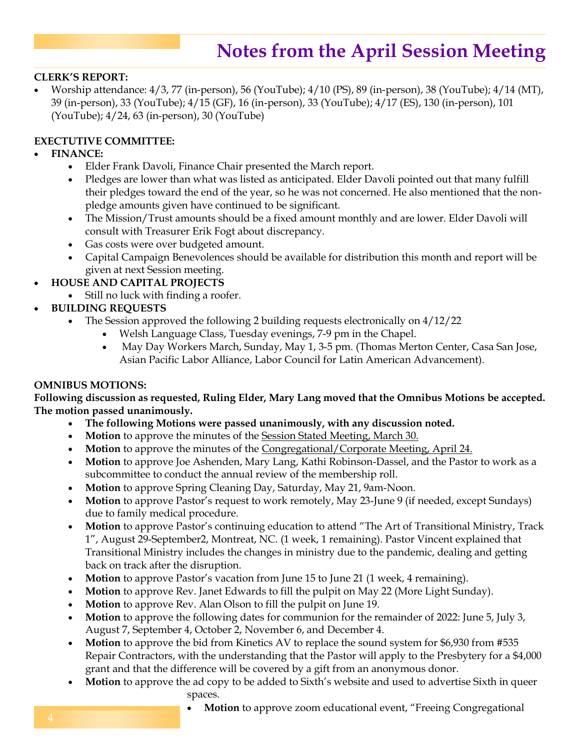### **Notes from the April Session Meeting**

#### **CLERK'S REPORT:**

• Worship attendance: 4/3, 77 (in-person), 56 (YouTube); 4/10 (PS), 89 (in-person), 38 (YouTube); 4/14 (MT), 39 (in-person), 33 (YouTube); 4/15 (GF), 16 (in-person), 33 (YouTube); 4/17 (ES), 130 (in-person), 101 (YouTube); 4/24, 63 (in-person), 30 (YouTube)

#### **EXECTUTIVE COMMITTEE:**

#### • **FINANCE:**

- Elder Frank Davoli, Finance Chair presented the March report.
- Pledges are lower than what was listed as anticipated. Elder Davoli pointed out that many fulfill their pledges toward the end of the year, so he was not concerned. He also mentioned that the nonpledge amounts given have continued to be significant.
- The Mission/Trust amounts should be a fixed amount monthly and are lower. Elder Davoli will consult with Treasurer Erik Fogt about discrepancy.
- Gas costs were over budgeted amount.
- Capital Campaign Benevolences should be available for distribution this month and report will be given at next Session meeting.
- **HOUSE AND CAPITAL PROJECTS**
	- Still no luck with finding a roofer.
- **BUILDING REQUESTS**
	- The Session approved the following 2 building requests electronically on 4/12/22
		- Welsh Language Class, Tuesday evenings, 7-9 pm in the Chapel.
		- May Day Workers March, Sunday, May 1, 3-5 pm. (Thomas Merton Center, Casa San Jose, Asian Pacific Labor Alliance, Labor Council for Latin American Advancement).

#### **OMNIBUS MOTIONS:**

**Following discussion as requested, Ruling Elder, Mary Lang moved that the Omnibus Motions be accepted. The motion passed unanimously.**

- **The following Motions were passed unanimously, with any discussion noted.**
- Motion to approve the minutes of the **Session Stated Meeting, March 30.**
- **Motion** to approve the minutes of the Congregational/Corporate Meeting, April 24.
- **Motion** to approve Joe Ashenden, Mary Lang, Kathi Robinson-Dassel, and the Pastor to work as a subcommittee to conduct the annual review of the membership roll.
- **Motion** to approve Spring Cleaning Day, Saturday, May 21, 9am-Noon.
- **Motion** to approve Pastor's request to work remotely, May 23-June 9 (if needed, except Sundays) due to family medical procedure.
- **Motion** to approve Pastor's continuing education to attend "The Art of Transitional Ministry, Track 1", August 29-September2, Montreat, NC. (1 week, 1 remaining). Pastor Vincent explained that Transitional Ministry includes the changes in ministry due to the pandemic, dealing and getting back on track after the disruption.
- **Motion** to approve Pastor's vacation from June 15 to June 21 (1 week, 4 remaining).
- **Motion** to approve Rev. Janet Edwards to fill the pulpit on May 22 (More Light Sunday).
- **Motion** to approve Rev. Alan Olson to fill the pulpit on June 19.
- **Motion** to approve the following dates for communion for the remainder of 2022: June 5, July 3, August 7, September 4, October 2, November 6, and December 4.
- **Motion** to approve the bid from Kinetics AV to replace the sound system for \$6,930 from #535 Repair Contractors, with the understanding that the Pastor will apply to the Presbytery for a \$4,000 grant and that the difference will be covered by a gift from an anonymous donor.
- **Motion** to approve the ad copy to be added to Sixth's website and used to advertise Sixth in queer spaces.
	- **Motion** to approve zoom educational event, "Freeing Congregational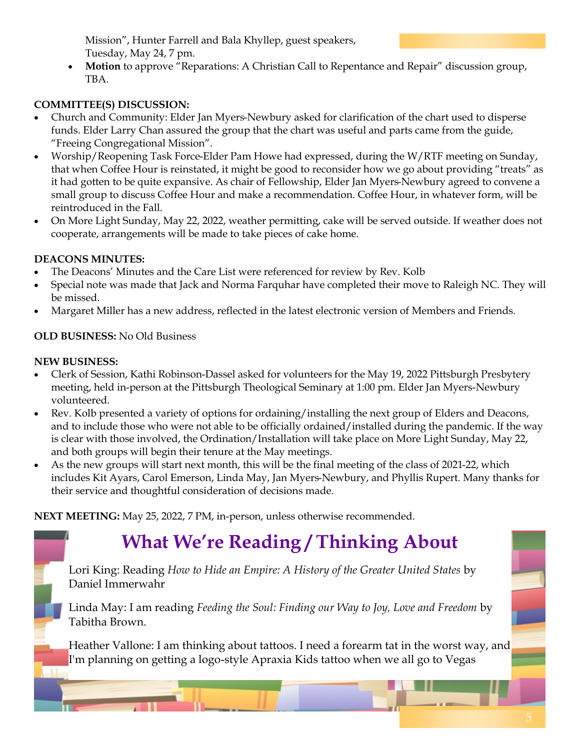Mission", Hunter Farrell and Bala Khyllep, guest speakers, Tuesday, May 24, 7 pm.

• **Motion** to approve "Reparations: A Christian Call to Repentance and Repair" discussion group, TBA.

### **COMMITTEE(S) DISCUSSION:**

- Church and Community: Elder Jan Myers-Newbury asked for clarification of the chart used to disperse funds. Elder Larry Chan assured the group that the chart was useful and parts came from the guide, "Freeing Congregational Mission".
- Worship/Reopening Task Force-Elder Pam Howe had expressed, during the W/RTF meeting on Sunday, that when Coffee Hour is reinstated, it might be good to reconsider how we go about providing "treats" as it had gotten to be quite expansive. As chair of Fellowship, Elder Jan Myers-Newbury agreed to convene a small group to discuss Coffee Hour and make a recommendation. Coffee Hour, in whatever form, will be reintroduced in the Fall.
- On More Light Sunday, May 22, 2022, weather permitting, cake will be served outside. If weather does not cooperate, arrangements will be made to take pieces of cake home.

### **DEACONS MINUTES:**

- The Deacons' Minutes and the Care List were referenced for review by Rev. Kolb
- Special note was made that Jack and Norma Farquhar have completed their move to Raleigh NC. They will be missed.
- Margaret Miller has a new address, reflected in the latest electronic version of Members and Friends.

### **OLD BUSINESS:** No Old Business

### **NEW BUSINESS:**

- Clerk of Session, Kathi Robinson-Dassel asked for volunteers for the May 19, 2022 Pittsburgh Presbytery meeting, held in-person at the Pittsburgh Theological Seminary at 1:00 pm. Elder Jan Myers-Newbury volunteered.
- Rev. Kolb presented a variety of options for ordaining/installing the next group of Elders and Deacons, and to include those who were not able to be officially ordained/installed during the pandemic. If the way is clear with those involved, the Ordination/Installation will take place on More Light Sunday, May 22, and both groups will begin their tenure at the May meetings.
- As the new groups will start next month, this will be the final meeting of the class of 2021-22, which includes Kit Ayars, Carol Emerson, Linda May, Jan Myers-Newbury, and Phyllis Rupert. Many thanks for their service and thoughtful consideration of decisions made.

**NEXT MEETING:** May 25, 2022, 7 PM, in-person, unless otherwise recommended.

# **What We're Reading / Thinking About**

Lori King: Reading *How to Hide an Empire: A History of the Greater United States* by Daniel Immerwahr

Linda May: I am reading *Feeding the Soul: Finding our Way to Joy, Love and Freedom* by Tabitha Brown.

Heather Vallone: I am thinking about tattoos. I need a forearm tat in the worst way, and I'm planning on getting a logo-style Apraxia Kids tattoo when we all go to Vegas